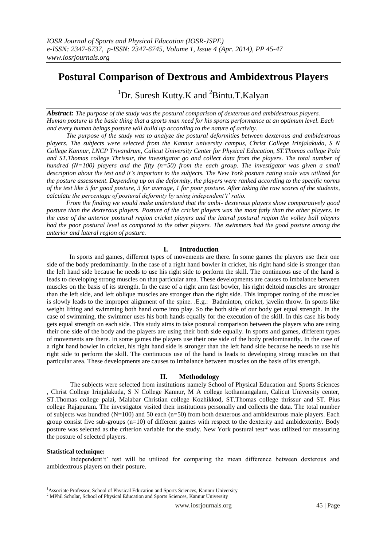# **Postural Comparison of Dextrous and Ambidextrous Players**

<sup>1</sup>Dr. Suresh Kutty.K and  ${}^{2}$ Bintu.T.Kalyan

*Abstract: The purpose of the study was the postural comparison of dexterous and ambidextrous players. Human posture is the basic thing that a sports man need for his sports performance at an optimum level. Each and every human beings posture will build up according to the nature of activity.*

 *The purpose of the study was to analyze the postural deformities between dexterous and ambidextrous players. The subjects were selected from the Kannur university campus, Christ College Irinjalakuda, S N College Kannur, LNCP Trivandrum, Calicut University Center for Physical Education, ST.Thomas college Pala and ST.Thomas college Thrissur, the investigator go and collect data from the players. The total number of hundred* ( $N=100$ ) players and the fifty ( $n=50$ ) from the each group. The investigator was given a small *description about the test and it's important to the subjects. The New York posture rating scale was utilized for the posture assessment. Depending up on the deformity, the players were ranked according to the specific norms of the test like 5 for good posture, 3 for average, 1 for poor posture. After taking the raw scores of the students, calculate the percentage of postural deformity by using independent't' ratio.*

 *From the finding we would make understand that the ambi- dexterous players show comparatively good posture than the dexterous players. Posture of the cricket players was the most fatly than the other players. In the case of the anterior postural region cricket players and the lateral postural region the volley ball players had the poor postural level as compared to the other players. The swimmers had the good posture among the anterior and lateral region of posture.*

## **I. Introduction**

 In sports and games, different types of movements are there. In some games the players use their one side of the body predominantly. In the case of a right hand bowler in cricket, his right hand side is stronger than the left hand side because he needs to use his right side to perform the skill. The continuous use of the hand is leads to developing strong muscles on that particular area. These developments are causes to imbalance between muscles on the basis of its strength. In the case of a right arm fast bowler, his right deltoid muscles are stronger than the left side, and left oblique muscles are stronger than the right side. This improper toning of the muscles is slowly leads to the improper alignment of the spine. .E.g.: Badminton, cricket, javelin throw. In sports like weight lifting and swimming both hand come into play. So the both side of our body get equal strength. In the case of swimming, the swimmer uses his both hands equally for the execution of the skill. In this case his body gets equal strength on each side. This study aims to take postural comparison between the players who are using their one side of the body and the players are using their both side equally. In sports and games, different types of movements are there. In some games the players use their one side of the body predominantly. In the case of a right hand bowler in cricket, his right hand side is stronger than the left hand side because he needs to use his right side to perform the skill. The continuous use of the hand is leads to developing strong muscles on that particular area. These developments are causes to imbalance between muscles on the basis of its strength.

# **II. Methodology**

 The subjects were selected from institutions namely School of Physical Education and Sports Sciences , Christ College Irinjalakuda, S N College Kannur, M A college kothamangalam, Calicut University center, ST.Thomas college palai, Malabar Christian college Kozhikkod, ST.Thomas college thrissur and ST. Pius college Rajapuram. The investigator visited their institutions personally and collects the data. The total number of subjects was hundred  $(N=100)$  and 50 each  $(n=50)$  from both dexterous and ambidextrous male players. Each group consist five sub-groups (n=10) of different games with respect to the dexterity and ambidexterity. Body posture was selected as the criterion variable for the study. New York postural test\* was utilized for measuring the posture of selected players.

## **Statistical technique:**

**.** 

Independent't' test will be utilized for comparing the mean difference between dexterous and ambidextrous players on their posture.

<sup>&</sup>lt;sup>1</sup>Associate Professor, School of Physical Education and Sports Sciences, Kannur University

<sup>2</sup> MPhil Scholar, School of Physical Education and Sports Sciences, Kannur University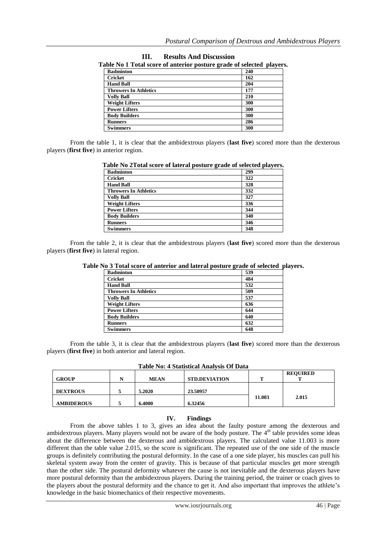| <b>Badminton</b>             | 240 |
|------------------------------|-----|
| <b>Cricket</b>               | 162 |
| <b>Hand Ball</b>             | 204 |
| <b>Throwers In Athletics</b> | 177 |
| <b>Volly Ball</b>            | 210 |
| <b>Weight Lifters</b>        | 300 |
| <b>Power Lifters</b>         | 300 |
| <b>Body Builders</b>         | 300 |
| <b>Runners</b>               | 286 |
| <b>Swimmers</b>              | 300 |

**III. Results And Discussion**

From the table 1, it is clear that the ambidextrous players (**last five**) scored more than the dexterous players (**first five**) in anterior region.

| Table No 2Total score of lateral posture grade of selected players. |     |  |  |  |
|---------------------------------------------------------------------|-----|--|--|--|
| <b>Badminton</b>                                                    | 299 |  |  |  |
| Cricket                                                             | 322 |  |  |  |
| <b>Hand Ball</b>                                                    | 328 |  |  |  |
| <b>Throwers In Athletics</b>                                        | 332 |  |  |  |
| <b>Volly Ball</b>                                                   | 327 |  |  |  |
| <b>Weight Lifters</b>                                               | 336 |  |  |  |
| <b>Power Lifters</b>                                                | 344 |  |  |  |
| <b>Body Builders</b>                                                | 340 |  |  |  |
| <b>Runners</b>                                                      | 346 |  |  |  |
| <b>Swimmers</b>                                                     | 348 |  |  |  |

From the table 2, it is clear that the ambidextrous players (**last five**) scored more than the dexterous players (**first five**) in lateral region.

| <b>Badminton</b>             | 539 |
|------------------------------|-----|
| <b>Cricket</b>               | 484 |
| <b>Hand Ball</b>             | 532 |
| <b>Throwers In Athletics</b> | 509 |
| <b>Volly Ball</b>            | 537 |
| <b>Weight Lifters</b>        | 636 |
| <b>Power Lifters</b>         | 644 |
| <b>Body Builders</b>         | 640 |
| <b>Runners</b>               | 632 |
| <b>Swimmers</b>              | 648 |

**Table No 3 Total score of anterior and lateral posture grade of selected players.**

From the table 3, it is clear that the ambidextrous players (**last five**) scored more than the dexterous players (**first five**) in both anterior and lateral region.

| <b>Table No: 4 Statistical Analysis Of Data</b> |  |  |  |
|-------------------------------------------------|--|--|--|
|-------------------------------------------------|--|--|--|

| <b>GROUP</b>      | N | <b>MEAN</b> | <b>STD.DEVIATION</b> | m      | <b>REQUIRED</b> |
|-------------------|---|-------------|----------------------|--------|-----------------|
| <b>DEXTROUS</b>   |   | 5.2020      | 23.50957             |        |                 |
| <b>AMBIDEROUS</b> |   | 6.4000      | 6.32456              | 11.003 | 2.015           |

### **IV. Findings**

From the above tables 1 to 3, gives an idea about the faulty posture among the dexterous and ambidextrous players. Many players would not be aware of the body posture. The 4<sup>th</sup> table provides some ideas about the difference between the dexterous and ambidextrous players. The calculated value 11.003 is more different than the table value 2.015, so the score is significant. The repeated use of the one side of the muscle groups is definitely contributing the postural deformity. In the case of a one side player, his muscles can pull his skeletal system away from the center of gravity. This is because of that particular muscles get more strength than the other side. The postural deformity whatever the cause is not inevitable and the dexterous players have more postural deformity than the ambidextrous players. During the training period, the trainer or coach gives to the players about the postural deformity and the chance to get it. And also important that improves the athlete's knowledge in the basic biomechanics of their respective movements.